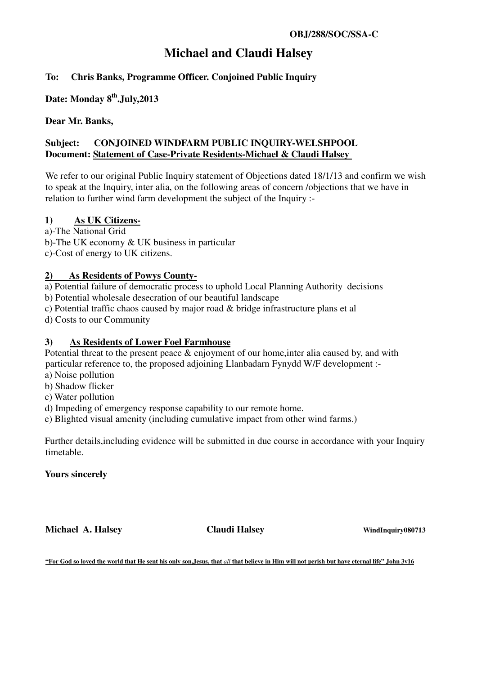# **Michael and Claudi Halsey**

# **To: Chris Banks, Programme Officer. Conjoined Public Inquiry**

# **Date: Monday 8th.July,2013**

#### **Dear Mr. Banks,**

#### **Subject: CONJOINED WINDFARM PUBLIC INQUIRY-WELSHPOOL Document: Statement of Case-Private Residents-Michael & Claudi Halsey**

We refer to our original Public Inquiry statement of Objections dated 18/1/13 and confirm we wish to speak at the Inquiry, inter alia, on the following areas of concern /objections that we have in relation to further wind farm development the subject of the Inquiry :-

#### **1) As UK Citizens-**

a)-The National Grid

b)-The UK economy & UK business in particular

c)-Cost of energy to UK citizens.

## **2) As Residents of Powys County-**

a) Potential failure of democratic process to uphold Local Planning Authority decisions

b) Potential wholesale desecration of our beautiful landscape

c) Potential traffic chaos caused by major road & bridge infrastructure plans et al

d) Costs to our Community

### **3) As Residents of Lower Foel Farmhouse**

Potential threat to the present peace & enjoyment of our home,inter alia caused by, and with particular reference to, the proposed adjoining Llanbadarn Fynydd W/F development :-

- a) Noise pollution
- b) Shadow flicker
- c) Water pollution

d) Impeding of emergency response capability to our remote home.

e) Blighted visual amenity (including cumulative impact from other wind farms.)

Further details,including evidence will be submitted in due course in accordance with your Inquiry timetable.

#### **Yours sincerely**

**Michael A. Halsey <b>Claudi Halsey Claudi Halsey WindInquiry080713** 

**"For God so loved the world that He sent his only son,Jesus, that** *all* **that believe in Him will not perish but have eternal life" John 3v16**